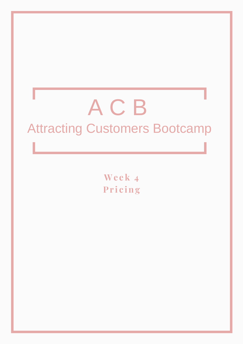# A C B Attracting Customers Bootcamp

**We e k 4 Pr i c ing**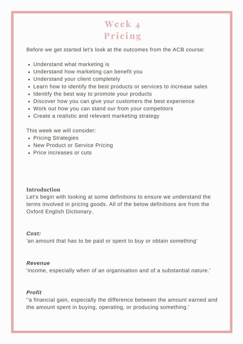# **We e k 4 Pr i c ing**

Before we get started let's look at the outcomes from the ACB course:

- Understand what marketing is
- Understand how marketing can benefit you
- Understand your client completely
- Learn how to identify the best products or services to increase sales
- Identify the best way to promote your products
- Discover how you can give your customers the best experience
- Work out how you can stand our from your competitors
- Create a realistic and relevant marketing strategy

This week we will consider:

- Pricing Strategies
- New Product or Service Pricing
- Price increases or cuts

#### **Introduction**

Let's begin with looking at some definitions to ensure we understand the terms involved in pricing goods. All of the below definitions are from the Oxford English Dictionary.

#### *Cost:*

'an amount that has to be paid or spent to buy or obtain something'

#### *Revenue*

'income, especially when of an organisation and of a substantial nature.'

#### *Profit*

''a financial gain, especially the difference between the amount earned and the amount spent in buying, operating, or producing something.'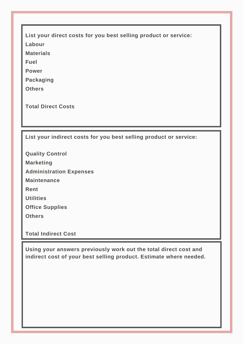**List your direct costs for you best selling product or service:**

**Labour**

**Materials**

**Fuel**

**Power**

**Packaging**

**Others**

**Total Direct Costs**

**List your indirect costs for you best selling product or service:**

**Quality Control Marketing Administration Expenses Maintenance Rent Utilities Office Supplies Others**

**Total Indirect Cost**

**Using your answers previously work out the total direct cost and indirect cost of your best selling product. Estimate where needed.**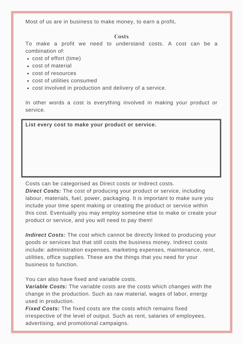Most of us are in business to make money, to earn a profit**.**

#### **Costs**

To make a profit we need to understand costs. A cost can be a combination of:

- cost of effort (time)
- cost of material
- cost of resources
- cost of utilities consumed
- cost involved in production and delivery of a service.

In other words a cost is everything involved in making your product or service.

**List every cost to make your product or service.**

Costs can be categorised as Direct costs or Indirect costs.

*Direct Costs:* The cost of producing your product or service, including labour, materials, fuel, power, packaging. It is important to make sure you include your time spent making or creating the product or service within this cost. Eventually you may employ someone else to make or create your product or service, and you will need to pay them!

*Indirect Costs:* The cost which cannot be directly linked to producing your goods or services but that still costs the business money. Indirect costs include: administration expenses, marketing expenses, maintenance, rent, utilities, office supplies. These are the things that you need for your business to function.

You can also have fixed and variable costs.

*Variable Costs:* The variable costs are the costs which changes with the change in the production. Such as raw material, wages of labor, energy used in production.

*Fixed Costs:* The fixed costs are the costs which remains fixed irrespective of the level of output. Such as rent, salaries of employees, advertising, and promotional campaigns.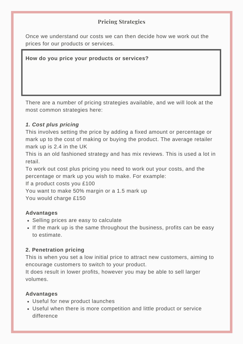# **Pricing Strategies**

Once we understand our costs we can then decide how we work out the prices for our products or services.

**How do you price your products or services?**

There are a number of pricing strategies available, and we will look at the most common strategies here:

# *1. Cost plus pricing*

This involves setting the price by adding a fixed amount or percentage or mark up to the cost of making or buying the product. The average retailer mark up is 2.4 in the UK

This is an old fashioned strategy and has mix reviews. This is used a lot in retail.

To work out cost plus pricing you need to work out your costs, and the percentage or mark up you wish to make. For example:

If a product costs you £100

You want to make 50% margin or a 1.5 mark up

You would charge £150

#### **Advantages**

- Selling prices are easy to calculate
- If the mark up is the same throughout the business, profits can be easy to estimate.

#### **2. Penetration pricing**

This is when you set a low initial price to attract new customers, aiming to encourage customers to switch to your product.

It does result in lower profits, however you may be able to sell larger volumes.

#### **Advantages**

- Useful for new product launches
- Useful when there is more competition and little product or service difference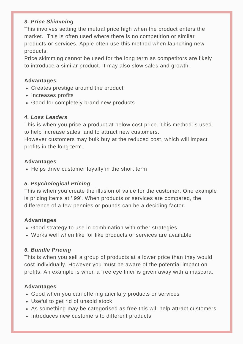### *3. Price Skimming*

This involves setting the mutual price high when the product enters the market. This is often used where there is no competition or similar products or services. Apple often use this method when launching new products.

Price skimming cannot be used for the long term as competitors are likely to introduce a similar product. It may also slow sales and growth.

#### **Advantages**

- Creates prestige around the product
- Increases profits
- Good for completely brand new products

# *4. Loss Leaders*

This is when you price a product at below cost price. This method is used to help increase sales, and to attract new customers.

However customers may bulk buy at the reduced cost, which will impact profits in the long term.

# **Advantages**

• Helps drive customer loyalty in the short term

# *5. Psychological Pricing*

This is when you create the illusion of value for the customer. One example is pricing items at '.99'. When products or services are compared, the difference of a few pennies or pounds can be a deciding factor.

# **Advantages**

- Good strategy to use in combination with other strategies
- Works well when like for like products or services are available

# *6. Bundle Pricing*

This is when you sell a group of products at a lower price than they would cost individually. However you must be aware of the potential impact on profits. An example is when a free eye liner is given away with a mascara.

# **Advantages**

- Good when you can offering ancillary products or services
- Useful to get rid of unsold stock
- As something may be categorised as free this will help attract customers
- Introduces new customers to different products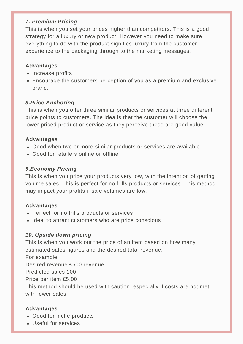### **7.** *Premium Pricing*

This is when you set your prices higher than competitors. This is a good strategy for a luxury or new product. However you need to make sure everything to do with the product signifies luxury from the customer experience to the packaging through to the marketing messages.

#### **Advantages**

- Increase profits
- Encourage the customers perception of you as a premium and exclusive brand.

#### *8.Price Anchoring*

This is when you offer three similar products or services at three different price points to customers. The idea is that the customer will choose the lower priced product or service as they perceive these are good value.

#### **Advantages**

- Good when two or more similar products or services are available
- Good for retailers online or offline

#### *9.Economy Pricing*

This is when you price your products very low, with the intention of getting volume sales. This is perfect for no frills products or services. This method may impact your profits if sale volumes are low.

#### **Advantages**

- Perfect for no frills products or services
- Ideal to attract customers who are price conscious

#### *10. Upside down pricing*

This is when you work out the price of an item based on how many estimated sales figures and the desired total revenue.

For example:

Desired revenue £500 revenue

Predicted sales 100

Price per item £5.00

This method should be used with caution, especially if costs are not met with lower sales

#### **Advantages**

- Good for niche products
- Useful for services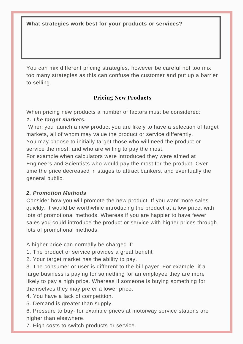**What strategies work best for your products or services?**

You can mix different pricing strategies, however be careful not too mix too many strategies as this can confuse the customer and put up a barrier to selling.

# **Pricing New Products**

When pricing new products a number of factors must be considered: *1. The target markets.*

When you launch a new product you are likely to have a selection of target markets, all of whom may value the product or service differently.

You may choose to initially target those who will need the product or service the most, and who are willing to pay the most.

For example when calculators were introduced they were aimed at Engineers and Scientists who would pay the most for the product. Over time the price decreased in stages to attract bankers, and eventually the general public.

#### *2. Promotion Methods*

Consider how you will promote the new product. If you want more sales quickly, it would be worthwhile introducing the product at a low price, with lots of promotional methods. Whereas if you are happier to have fewer sales you could introduce the product or service with higher prices through lots of promotional methods.

A higher price can normally be charged if:

1. The product or service provides a great benefit

2. Your target market has the ability to pay.

3. The consumer or user is different to the bill payer. For example, if a large business is paying for something for an employee they are more likely to pay a high price. Whereas if someone is buying something for themselves they may prefer a lower price.

4. You have a lack of competition.

5. Demand is greater than supply.

6. Pressure to buy- for example prices at motorway service stations are higher than elsewhere.

7. High costs to switch products or service.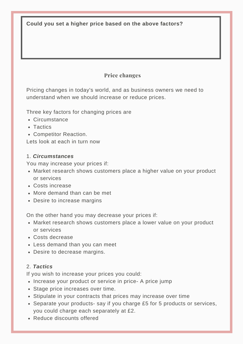**Could you set a higher price based on the above factors?**

# **Price changes**

Pricing changes in today's world, and as business owners we need to understand when we should increase or reduce prices.

Three key factors for changing prices are

- Circumstance
- Tactics
- Competitor Reaction.

Lets look at each in turn now

#### 1. *Circumstances*

You may increase your prices if:

- Market research shows customers place a higher value on your product or services
- Costs increase
- More demand than can be met
- Desire to increase margins

On the other hand you may decrease your prices if:

- Market research shows customers place a lower value on your product or services
- Costs decrease
- Less demand than you can meet
- Desire to decrease margins.

#### 2. *Tactics*

If you wish to increase your prices you could:

- Increase your product or service in price- A price jump
- Stage price increases over time.
- Stipulate in your contracts that prices may increase over time
- Separate your products- say if you charge £5 for 5 products or services, you could charge each separately at £2.
- Reduce discounts offered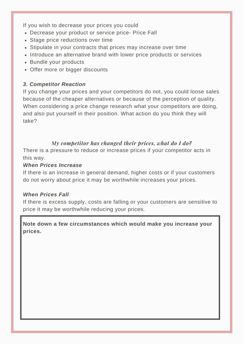If you wish to decrease your prices you could

- Decrease your product or service price- Price Fall
- Stage price reductions over time
- Stipulate in your contracts that prices may increase over time
- Introduce an alternative brand with lower price products or services
- Bundle your products
- Offer more or bigger discounts

# *3. Competitor Reaction*

If you change your prices and your competitors do not, you could loose sales because of the cheaper alternatives or because of the perception of quality. When considering a price change research what your competitors are doing, and also put yourself in their position. What action do you think they will take?

# *My competitor has changed their prices, what do I do?*

There is a pressure to reduce or increase prices if your competitor acts in this way.

#### *When Prices Increase*

If there is an increase in general demand, higher costs or if your customers do not worry about price it may be worthwhile increases your prices.

#### *When Prices Fall*

If there is excess supply, costs are falling or your customers are sensitive to price it may be worthwhile reducing your prices.

# **Note down a few circumstances which would make you increase your prices.**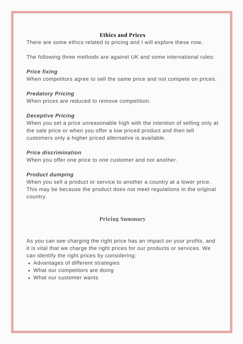# **Ethics and Prices**

There are some ethics related to pricing and I will explore these now.

The following three methods are against UK and some international rules:

#### *Price fixing*

When competitors agree to sell the same price and not compete on prices.

#### *Predatory Pricing*

When prices are reduced to remove competition.

#### *Deceptive Pricing*

When you set a price unreasonable high with the intention of selling only at the sale price or when you offer a low priced product and then tell customers only a higher priced alternative is available.

#### *Price discrimination*

When you offer one price to one customer and not another.

#### *Product dumping*

When you sell a product or service to another a country at a lower price. This may be because the product does not meet regulations in the original country.

# **Pricing Summary**

As you can see charging the right price has an impact on your profits, and it is vital that we charge the right prices for our products or services. We can identify the right prices by considering:

- Advantages of different strategies
- What our competitors are doing
- What our customer wants